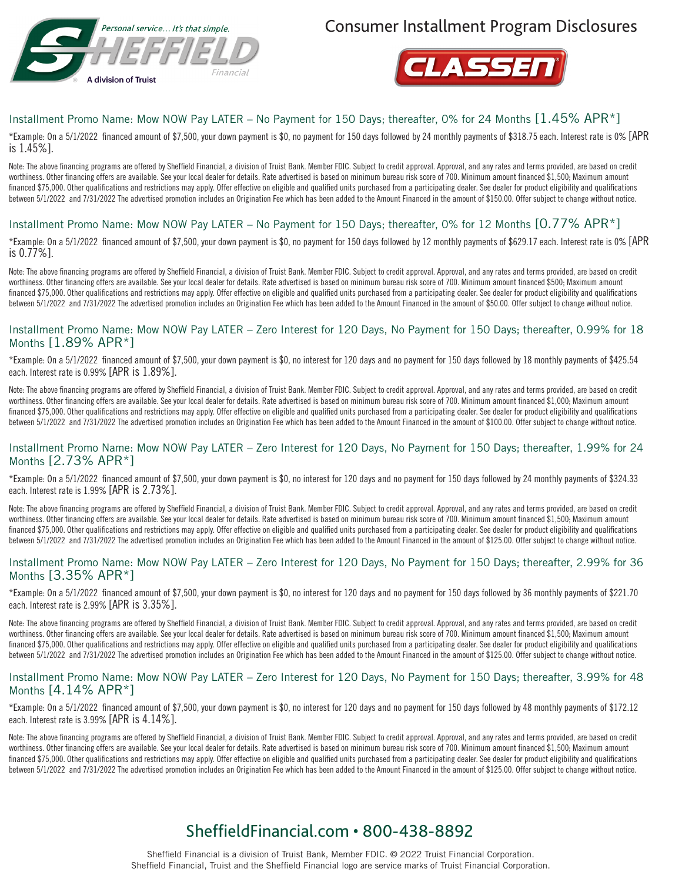

Consumer Installment Program Disclosures



## Installment Promo Name: Mow NOW Pay LATER – No Payment for 150 Days; thereafter, 0% for 24 Months [1.45% APR\*]

\*Example: On a 5/1/2022 financed amount of \$7,500, your down payment is \$0, no payment for 150 days followed by 24 monthly payments of \$318.75 each. Interest rate is 0% [APR is 1.45%].

Note: The above financing programs are offered by Sheffield Financial, a division of Truist Bank. Member FDIC. Subject to credit approval. Approval, and any rates and terms provided, are based on credit worthiness. Other financing offers are available. See your local dealer for details. Rate advertised is based on minimum bureau risk score of 700. Minimum amount financed \$1,500; Maximum amount financed \$75,000. Other qualifications and restrictions may apply. Offer effective on eligible and qualified units purchased from a participating dealer. See dealer for product eligibility and qualifications between 5/1/2022 and 7/31/2022 The advertised promotion includes an Origination Fee which has been added to the Amount Financed in the amount of \$150.00. Offer subject to change without notice.

## Installment Promo Name: Mow NOW Pay LATER – No Payment for 150 Days; thereafter, 0% for 12 Months [0.77% APR\*]

\*Example: On a 5/1/2022 financed amount of \$7,500, your down payment is \$0, no payment for 150 days followed by 12 monthly payments of \$629.17 each. Interest rate is 0% [APR is 0.77%].

Note: The above financing programs are offered by Sheffield Financial, a division of Truist Bank. Member FDIC. Subject to credit approval. Approval, and any rates and terms provided, are based on credit worthiness. Other financing offers are available. See your local dealer for details. Rate advertised is based on minimum bureau risk score of 700. Minimum amount financed \$500; Maximum amount financed \$75,000. Other qualifications and restrictions may apply. Offer effective on eligible and qualified units purchased from a participating dealer. See dealer for product eligibility and qualifications between 5/1/2022 and 7/31/2022 The advertised promotion includes an Origination Fee which has been added to the Amount Financed in the amount of \$50.00. Offer subject to change without notice.

#### Installment Promo Name: Mow NOW Pay LATER – Zero Interest for 120 Days, No Payment for 150 Days; thereafter, 0.99% for 18 Months [1.89% APR\*]

\*Example: On a 5/1/2022 financed amount of \$7,500, your down payment is \$0, no interest for 120 days and no payment for 150 days followed by 18 monthly payments of \$425.54 each. Interest rate is 0.99% [APR is 1.89%].

Note: The above financing programs are offered by Sheffield Financial, a division of Truist Bank. Member FDIC. Subject to credit approval. Approval, and any rates and terms provided, are based on credit worthiness. Other financing offers are available. See your local dealer for details. Rate advertised is based on minimum bureau risk score of 700. Minimum amount financed \$1,000; Maximum amount financed \$75,000. Other qualifications and restrictions may apply. Offer effective on eligible and qualified units purchased from a participating dealer. See dealer for product eligibility and qualifications between 5/1/2022 and 7/31/2022 The advertised promotion includes an Origination Fee which has been added to the Amount Financed in the amount of \$100.00. Offer subject to change without notice.

#### Installment Promo Name: Mow NOW Pay LATER – Zero Interest for 120 Days, No Payment for 150 Days; thereafter, 1.99% for 24 Months [2.73% APR\*]

\*Example: On a 5/1/2022 financed amount of \$7,500, your down payment is \$0, no interest for 120 days and no payment for 150 days followed by 24 monthly payments of \$324.33 each. Interest rate is 1.99% [APR is 2.73%].

Note: The above financing programs are offered by Sheffield Financial, a division of Truist Bank. Member FDIC. Subject to credit approval. Approval, and any rates and terms provided, are based on credit worthiness. Other financing offers are available. See your local dealer for details. Rate advertised is based on minimum bureau risk score of 700. Minimum amount financed \$1,500; Maximum amount financed \$75,000. Other qualifications and restrictions may apply. Offer effective on eligible and qualified units purchased from a participating dealer. See dealer for product eligibility and qualifications between 5/1/2022 and 7/31/2022 The advertised promotion includes an Origination Fee which has been added to the Amount Financed in the amount of \$125.00. Offer subject to change without notice.

#### Installment Promo Name: Mow NOW Pay LATER – Zero Interest for 120 Days, No Payment for 150 Days; thereafter, 2.99% for 36 Months [3.35% APR\*]

\*Example: On a 5/1/2022 financed amount of \$7,500, your down payment is \$0, no interest for 120 days and no payment for 150 days followed by 36 monthly payments of \$221.70 each. Interest rate is 2.99% [APR is 3.35%].

Note: The above financing programs are offered by Sheffield Financial, a division of Truist Bank. Member FDIC. Subject to credit approval. Approval, and any rates and terms provided, are based on credit worthiness. Other financing offers are available. See your local dealer for details. Rate advertised is based on minimum bureau risk score of 700. Minimum amount financed \$1,500; Maximum amount financed \$75,000. Other qualifications and restrictions may apply. Offer effective on eligible and qualified units purchased from a participating dealer. See dealer for product eligibility and qualifications between 5/1/2022 and 7/31/2022 The advertised promotion includes an Origination Fee which has been added to the Amount Financed in the amount of \$125.00. Offer subject to change without notice.

#### Installment Promo Name: Mow NOW Pay LATER – Zero Interest for 120 Days, No Payment for 150 Days; thereafter, 3.99% for 48 Months [4.14% APR\*]

\*Example: On a 5/1/2022 financed amount of \$7,500, your down payment is \$0, no interest for 120 days and no payment for 150 days followed by 48 monthly payments of \$172.12 each. Interest rate is 3.99% [APR is 4.14%].

Note: The above financing programs are offered by Sheffield Financial, a division of Truist Bank. Member FDIC. Subject to credit approval. Approval, and any rates and terms provided, are based on credit worthiness. Other financing offers are available. See your local dealer for details. Rate advertised is based on minimum bureau risk score of 700. Minimum amount financed \$1,500; Maximum amount financed \$75,000. Other qualifications and restrictions may apply. Offer effective on eligible and qualified units purchased from a participating dealer. See dealer for product eligibility and qualifications between 5/1/2022 and 7/31/2022 The advertised promotion includes an Origination Fee which has been added to the Amount Financed in the amount of \$125.00. Offer subject to change without notice.

# SheffieldFinancial.com • 800-438-8892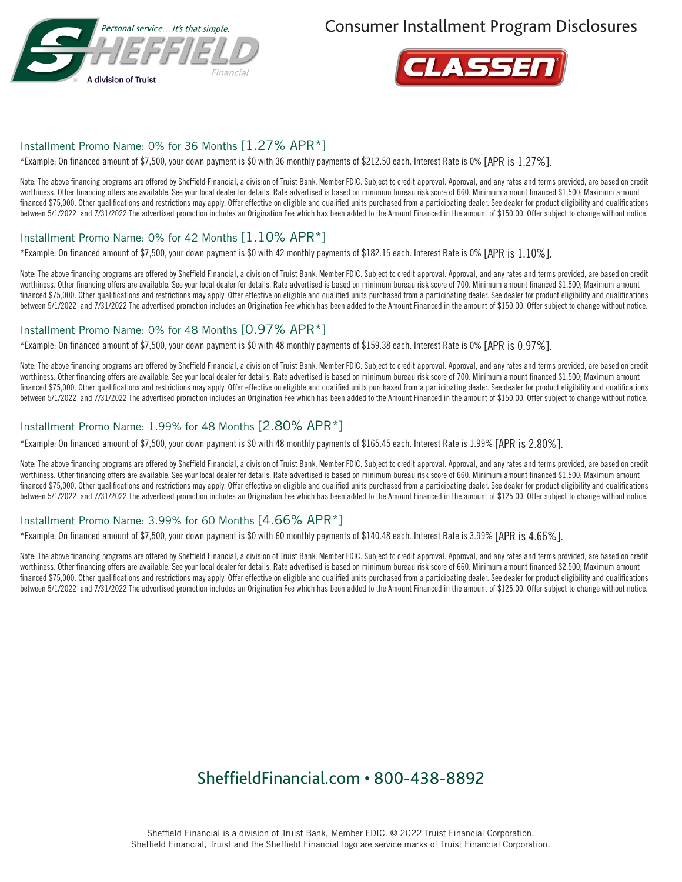

Consumer Installment Program Disclosures



## Installment Promo Name: 0% for 36 Months [1.27% APR\*]

\*Example: On financed amount of \$7,500, your down payment is \$0 with 36 monthly payments of \$212.50 each. Interest Rate is 0% [APR is 1.27%].

Note: The above financing programs are offered by Sheffield Financial, a division of Truist Bank. Member FDIC. Subject to credit approval. Approval, and any rates and terms provided, are based on credit worthiness. Other financing offers are available. See your local dealer for details. Rate advertised is based on minimum bureau risk score of 660. Minimum amount financed \$1,500; Maximum amount financed \$75,000. Other qualifications and restrictions may apply. Offer effective on eligible and qualified units purchased from a participating dealer. See dealer for product eligibility and qualifications between 5/1/2022 and 7/31/2022 The advertised promotion includes an Origination Fee which has been added to the Amount Financed in the amount of \$150.00. Offer subject to change without notice.

### Installment Promo Name: 0% for 42 Months [1.10% APR\*]

\*Example: On financed amount of \$7,500, your down payment is \$0 with 42 monthly payments of \$182.15 each. Interest Rate is 0% [APR is 1.10%].

Note: The above financing programs are offered by Sheffield Financial, a division of Truist Bank. Member FDIC. Subject to credit approval. Approval, and any rates and terms provided, are based on credit worthiness. Other financing offers are available. See your local dealer for details. Rate advertised is based on minimum bureau risk score of 700. Minimum amount financed \$1,500; Maximum amount financed \$75,000. Other qualifications and restrictions may apply. Offer effective on eligible and qualified units purchased from a participating dealer. See dealer for product eligibility and qualifications between 5/1/2022 and 7/31/2022 The advertised promotion includes an Origination Fee which has been added to the Amount Financed in the amount of \$150.00. Offer subject to change without notice.

#### Installment Promo Name: 0% for 48 Months [0.97% APR\*]

\*Example: On financed amount of \$7,500, your down payment is \$0 with 48 monthly payments of \$159.38 each. Interest Rate is 0% [APR is 0.97%].

Note: The above financing programs are offered by Sheffield Financial, a division of Truist Bank. Member FDIC. Subject to credit approval. Approval, and any rates and terms provided, are based on credit worthiness. Other financing offers are available. See your local dealer for details. Rate advertised is based on minimum bureau risk score of 700. Minimum amount financed \$1,500; Maximum amount financed \$75,000. Other qualifications and restrictions may apply. Offer effective on eligible and qualified units purchased from a participating dealer. See dealer for product eligibility and qualifications between 5/1/2022 and 7/31/2022 The advertised promotion includes an Origination Fee which has been added to the Amount Financed in the amount of \$150.00. Offer subject to change without notice.

## Installment Promo Name: 1.99% for 48 Months [2.80% APR\*]

\*Example: On financed amount of \$7,500, your down payment is \$0 with 48 monthly payments of \$165.45 each. Interest Rate is 1.99% [APR is 2.80%].

Note: The above financing programs are offered by Sheffield Financial, a division of Truist Bank. Member FDIC. Subject to credit approval. Approval, and any rates and terms provided, are based on credit worthiness. Other financing offers are available. See your local dealer for details. Rate advertised is based on minimum bureau risk score of 660. Minimum amount financed \$1,500; Maximum amount financed \$75,000. Other qualifications and restrictions may apply. Offer effective on eligible and qualified units purchased from a participating dealer. See dealer for product eligibility and qualifications between 5/1/2022 and 7/31/2022 The advertised promotion includes an Origination Fee which has been added to the Amount Financed in the amount of \$125.00. Offer subject to change without notice.

## Installment Promo Name: 3.99% for 60 Months [4.66% APR\*]

\*Example: On financed amount of \$7,500, your down payment is \$0 with 60 monthly payments of \$140.48 each. Interest Rate is 3.99% [APR is 4.66%].

Note: The above financing programs are offered by Sheffield Financial, a division of Truist Bank. Member FDIC. Subject to credit approval. Approval, and any rates and terms provided, are based on credit worthiness. Other financing offers are available. See your local dealer for details. Rate advertised is based on minimum bureau risk score of 660. Minimum amount financed \$2,500; Maximum amount financed \$75,000. Other qualifications and restrictions may apply. Offer effective on eligible and qualified units purchased from a participating dealer. See dealer for product eligibility and qualifications between 5/1/2022 and 7/31/2022 The advertised promotion includes an Origination Fee which has been added to the Amount Financed in the amount of \$125.00. Offer subject to change without notice.

## SheffieldFinancial.com • 800-438-8892